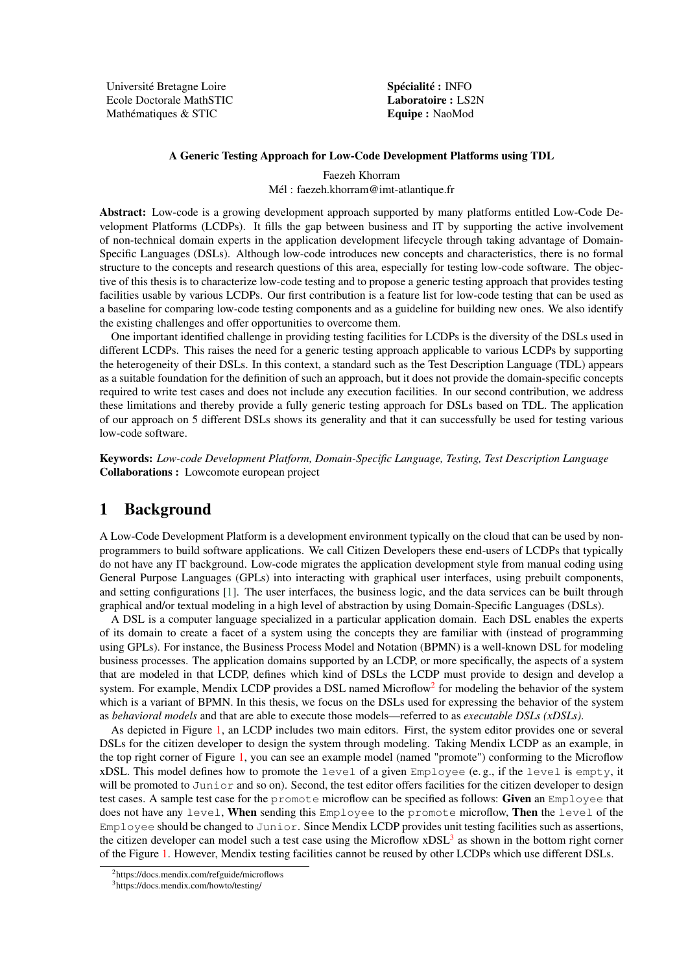Université Bretagne Loire Ecole Doctorale MathSTIC Mathématiques & STIC

Spécialité : INFO Laboratoire : LS2N Equipe : NaoMod

#### A Generic Testing Approach for Low-Code Development Platforms using TDL

Faezeh Khorram Mél : faezeh.khorram@imt-atlantique.fr

Abstract: Low-code is a growing development approach supported by many platforms entitled Low-Code Development Platforms (LCDPs). It fills the gap between business and IT by supporting the active involvement of non-technical domain experts in the application development lifecycle through taking advantage of Domain-Specific Languages (DSLs). Although low-code introduces new concepts and characteristics, there is no formal structure to the concepts and research questions of this area, especially for testing low-code software. The objective of this thesis is to characterize low-code testing and to propose a generic testing approach that provides testing facilities usable by various LCDPs. Our first contribution is a feature list for low-code testing that can be used as a baseline for comparing low-code testing components and as a guideline for building new ones. We also identify the existing challenges and offer opportunities to overcome them.

One important identified challenge in providing testing facilities for LCDPs is the diversity of the DSLs used in different LCDPs. This raises the need for a generic testing approach applicable to various LCDPs by supporting the heterogeneity of their DSLs. In this context, a standard such as the Test Description Language (TDL) appears as a suitable foundation for the definition of such an approach, but it does not provide the domain-specific concepts required to write test cases and does not include any execution facilities. In our second contribution, we address these limitations and thereby provide a fully generic testing approach for DSLs based on TDL. The application of our approach on 5 different DSLs shows its generality and that it can successfully be used for testing various low-code software.

Keywords: *Low-code Development Platform, Domain-Specific Language, Testing, Test Description Language* Collaborations : Lowcomote european project

### 1 Background

A Low-Code Development Platform is a development environment typically on the cloud that can be used by nonprogrammers to build software applications. We call Citizen Developers these end-users of LCDPs that typically do not have any IT background. Low-code migrates the application development style from manual coding using General Purpose Languages (GPLs) into interacting with graphical user interfaces, using prebuilt components, and setting configurations [\[1\]](#page-3-0). The user interfaces, the business logic, and the data services can be built through graphical and/or textual modeling in a high level of abstraction by using Domain-Specific Languages (DSLs).

A DSL is a computer language specialized in a particular application domain. Each DSL enables the experts of its domain to create a facet of a system using the concepts they are familiar with (instead of programming using GPLs). For instance, the Business Process Model and Notation (BPMN) is a well-known DSL for modeling business processes. The application domains supported by an LCDP, or more specifically, the aspects of a system that are modeled in that LCDP, defines which kind of DSLs the LCDP must provide to design and develop a system. For example, Mendix LCDP provides a DSL named Microflow<sup>[2](#page-0-0)</sup> for modeling the behavior of the system which is a variant of BPMN. In this thesis, we focus on the DSLs used for expressing the behavior of the system as *behavioral models* and that are able to execute those models—referred to as *executable DSLs (xDSLs)*.

As depicted in Figure [1,](#page-1-0) an LCDP includes two main editors. First, the system editor provides one or several DSLs for the citizen developer to design the system through modeling. Taking Mendix LCDP as an example, in the top right corner of Figure [1,](#page-1-0) you can see an example model (named "promote") conforming to the Microflow xDSL. This model defines how to promote the level of a given Employee (e. g., if the level is empty, it will be promoted to Junior and so on). Second, the test editor offers facilities for the citizen developer to design test cases. A sample test case for the promote microflow can be specified as follows: Given an Employee that does not have any level, When sending this Employee to the promote microflow, Then the level of the Employee should be changed to Junior. Since Mendix LCDP provides unit testing facilities such as assertions, the citizen developer can model such a test case using the Microflow xDSL<sup>[3](#page-0-1)</sup> as shown in the bottom right corner of the Figure [1.](#page-1-0) However, Mendix testing facilities cannot be reused by other LCDPs which use different DSLs.

<span id="page-0-0"></span><sup>2</sup>https://docs.mendix.com/refguide/microflows

<span id="page-0-1"></span><sup>3</sup>https://docs.mendix.com/howto/testing/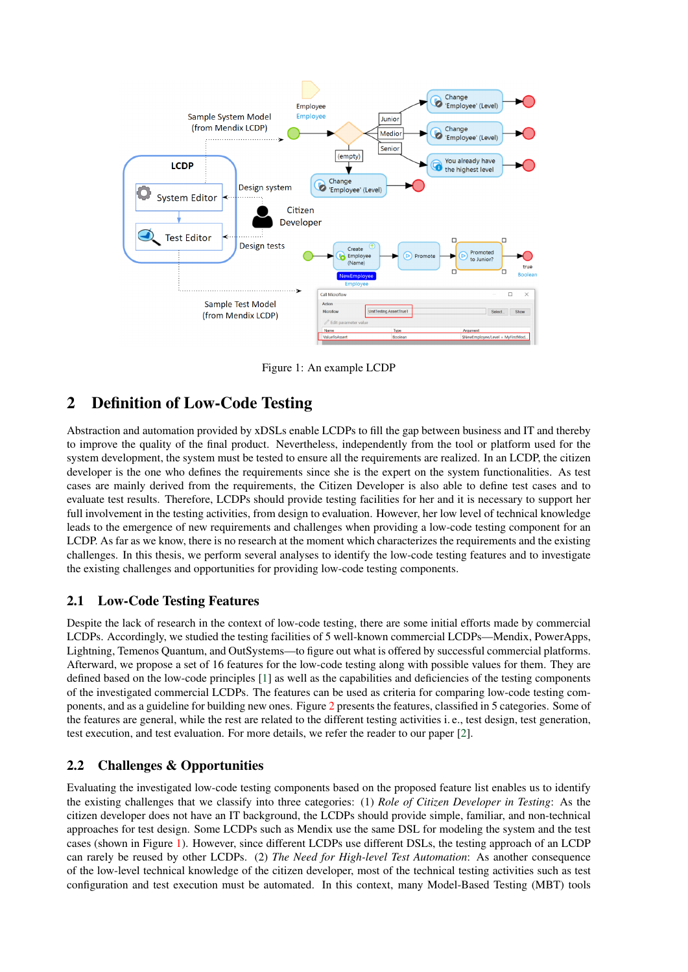

<span id="page-1-0"></span>Figure 1: An example LCDP

# 2 Definition of Low-Code Testing

Abstraction and automation provided by xDSLs enable LCDPs to fill the gap between business and IT and thereby to improve the quality of the final product. Nevertheless, independently from the tool or platform used for the system development, the system must be tested to ensure all the requirements are realized. In an LCDP, the citizen developer is the one who defines the requirements since she is the expert on the system functionalities. As test cases are mainly derived from the requirements, the Citizen Developer is also able to define test cases and to evaluate test results. Therefore, LCDPs should provide testing facilities for her and it is necessary to support her full involvement in the testing activities, from design to evaluation. However, her low level of technical knowledge leads to the emergence of new requirements and challenges when providing a low-code testing component for an LCDP. As far as we know, there is no research at the moment which characterizes the requirements and the existing challenges. In this thesis, we perform several analyses to identify the low-code testing features and to investigate the existing challenges and opportunities for providing low-code testing components.

### 2.1 Low-Code Testing Features

Despite the lack of research in the context of low-code testing, there are some initial efforts made by commercial LCDPs. Accordingly, we studied the testing facilities of 5 well-known commercial LCDPs—Mendix, PowerApps, Lightning, Temenos Quantum, and OutSystems—to figure out what is offered by successful commercial platforms. Afterward, we propose a set of 16 features for the low-code testing along with possible values for them. They are defined based on the low-code principles [\[1\]](#page-3-0) as well as the capabilities and deficiencies of the testing components of the investigated commercial LCDPs. The features can be used as criteria for comparing low-code testing components, and as a guideline for building new ones. Figure [2](#page-2-0) presents the features, classified in 5 categories. Some of the features are general, while the rest are related to the different testing activities i. e., test design, test generation, test execution, and test evaluation. For more details, we refer the reader to our paper [\[2\]](#page-3-1).

# 2.2 Challenges & Opportunities

Evaluating the investigated low-code testing components based on the proposed feature list enables us to identify the existing challenges that we classify into three categories: (1) *Role of Citizen Developer in Testing*: As the citizen developer does not have an IT background, the LCDPs should provide simple, familiar, and non-technical approaches for test design. Some LCDPs such as Mendix use the same DSL for modeling the system and the test cases (shown in Figure [1\)](#page-1-0). However, since different LCDPs use different DSLs, the testing approach of an LCDP can rarely be reused by other LCDPs. (2) *The Need for High-level Test Automation*: As another consequence of the low-level technical knowledge of the citizen developer, most of the technical testing activities such as test configuration and test execution must be automated. In this context, many Model-Based Testing (MBT) tools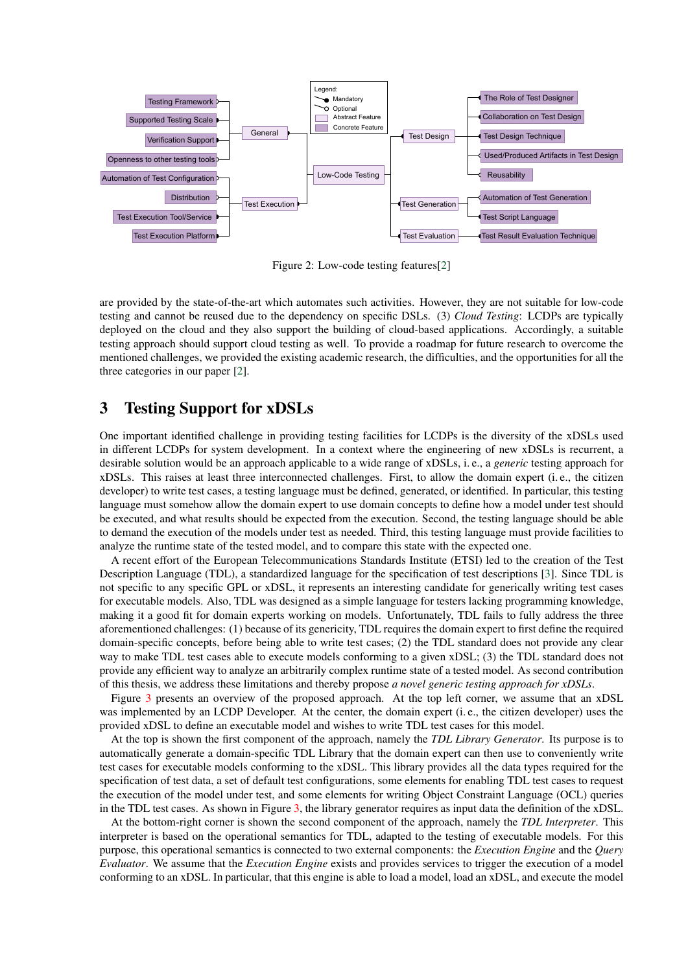

<span id="page-2-0"></span>Figure 2: Low-code testing features[\[2\]](#page-3-1)

are provided by the state-of-the-art which automates such activities. However, they are not suitable for low-code testing and cannot be reused due to the dependency on specific DSLs. (3) *Cloud Testing*: LCDPs are typically deployed on the cloud and they also support the building of cloud-based applications. Accordingly, a suitable testing approach should support cloud testing as well. To provide a roadmap for future research to overcome the mentioned challenges, we provided the existing academic research, the difficulties, and the opportunities for all the three categories in our paper [\[2\]](#page-3-1).

### 3 Testing Support for xDSLs

One important identified challenge in providing testing facilities for LCDPs is the diversity of the xDSLs used in different LCDPs for system development. In a context where the engineering of new xDSLs is recurrent, a desirable solution would be an approach applicable to a wide range of xDSLs, i. e., a *generic* testing approach for xDSLs. This raises at least three interconnected challenges. First, to allow the domain expert (i. e., the citizen developer) to write test cases, a testing language must be defined, generated, or identified. In particular, this testing language must somehow allow the domain expert to use domain concepts to define how a model under test should be executed, and what results should be expected from the execution. Second, the testing language should be able to demand the execution of the models under test as needed. Third, this testing language must provide facilities to analyze the runtime state of the tested model, and to compare this state with the expected one.

A recent effort of the European Telecommunications Standards Institute (ETSI) led to the creation of the Test Description Language (TDL), a standardized language for the specification of test descriptions [\[3\]](#page-3-2). Since TDL is not specific to any specific GPL or xDSL, it represents an interesting candidate for generically writing test cases for executable models. Also, TDL was designed as a simple language for testers lacking programming knowledge, making it a good fit for domain experts working on models. Unfortunately, TDL fails to fully address the three aforementioned challenges: (1) because of its genericity, TDL requires the domain expert to first define the required domain-specific concepts, before being able to write test cases; (2) the TDL standard does not provide any clear way to make TDL test cases able to execute models conforming to a given xDSL; (3) the TDL standard does not provide any efficient way to analyze an arbitrarily complex runtime state of a tested model. As second contribution of this thesis, we address these limitations and thereby propose *a novel generic testing approach for xDSLs*.

Figure [3](#page-3-3) presents an overview of the proposed approach. At the top left corner, we assume that an xDSL was implemented by an LCDP Developer. At the center, the domain expert (i. e., the citizen developer) uses the provided xDSL to define an executable model and wishes to write TDL test cases for this model.

At the top is shown the first component of the approach, namely the *TDL Library Generator*. Its purpose is to automatically generate a domain-specific TDL Library that the domain expert can then use to conveniently write test cases for executable models conforming to the xDSL. This library provides all the data types required for the specification of test data, a set of default test configurations, some elements for enabling TDL test cases to request the execution of the model under test, and some elements for writing Object Constraint Language (OCL) queries in the TDL test cases. As shown in Figure [3,](#page-3-3) the library generator requires as input data the definition of the xDSL.

At the bottom-right corner is shown the second component of the approach, namely the *TDL Interpreter*. This interpreter is based on the operational semantics for TDL, adapted to the testing of executable models. For this purpose, this operational semantics is connected to two external components: the *Execution Engine* and the *Query Evaluator*. We assume that the *Execution Engine* exists and provides services to trigger the execution of a model conforming to an xDSL. In particular, that this engine is able to load a model, load an xDSL, and execute the model